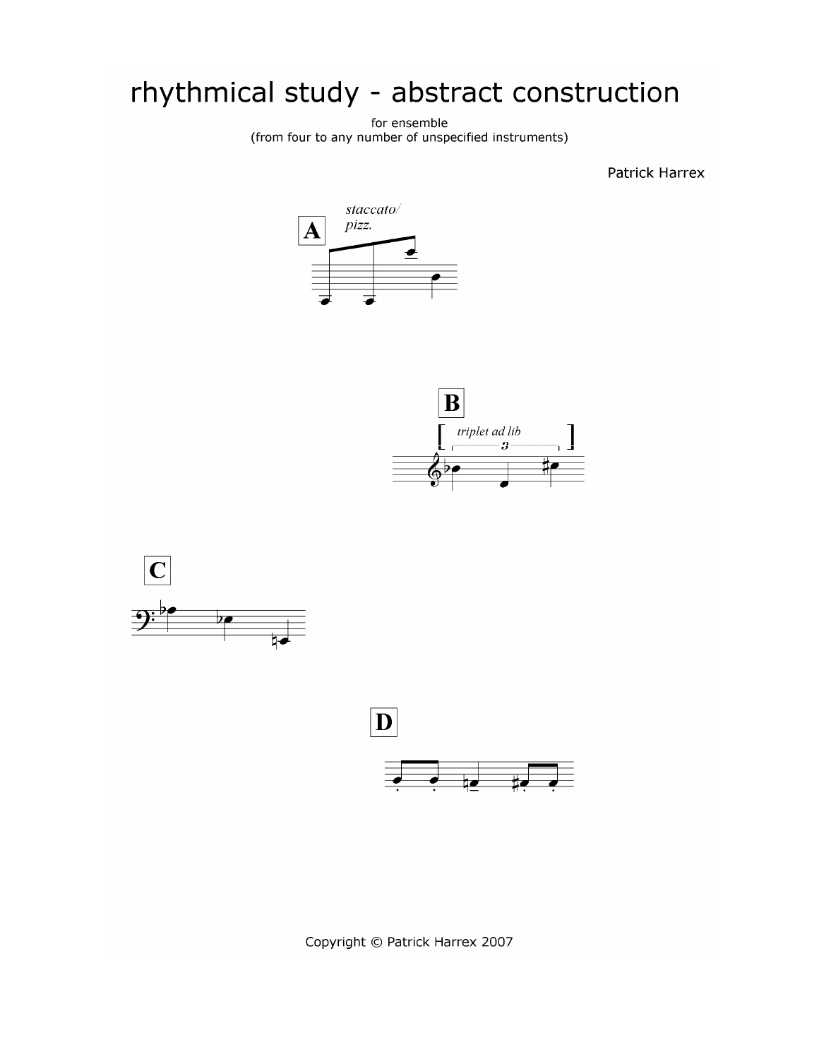## rhythmical study - abstract construction

for ensemble (from four to any number of unspecified instruments)

**Patrick Harrex** 







Copyright © Patrick Harrex 2007